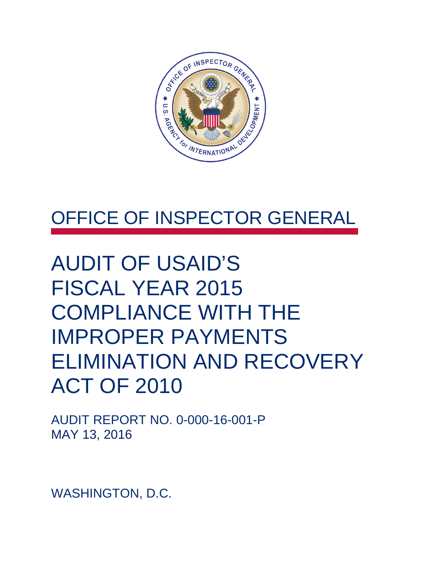

# OFFICE OF INSPECTOR GENERAL

# AUDIT OF USAID'S FISCAL YEAR 2015 COMPLIANCE WITH THE IMPROPER PAYMENTS ELIMINATION AND RECOVERY ACT OF 2010

AUDIT REPORT NO. 0-000-16-001-P MAY 13, 2016

WASHINGTON, D.C.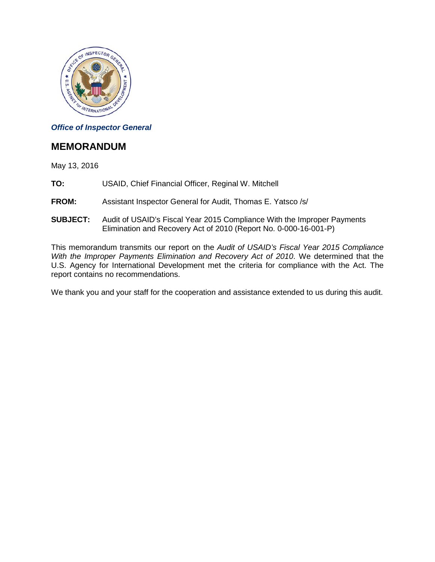

#### *Office of Inspector General*

#### **MEMORANDUM**

May 13, 2016

- **TO:** USAID, Chief Financial Officer, Reginal W. Mitchell
- **FROM:** Assistant Inspector General for Audit, Thomas E. Yatsco /s/
- **SUBJECT:** Audit of USAID's Fiscal Year 2015 Compliance With the Improper Payments Elimination and Recovery Act of 2010 (Report No. 0-000-16-001-P)

This memorandum transmits our report on the *Audit of USAID's Fiscal Year 2015 Compliance With the Improper Payments Elimination and Recovery Act of 2010*. We determined that the U.S. Agency for International Development met the criteria for compliance with the Act. The report contains no recommendations.

We thank you and your staff for the cooperation and assistance extended to us during this audit.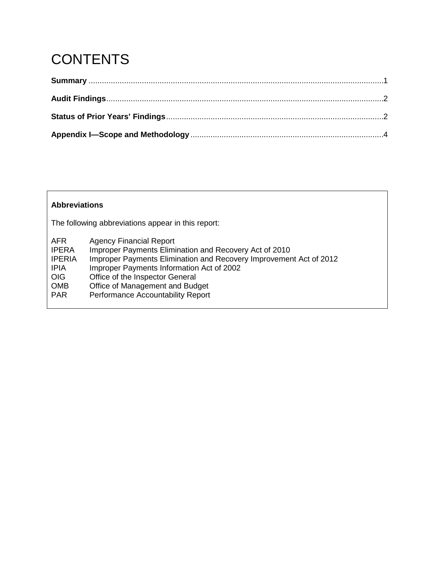# **CONTENTS**

#### **Abbreviations**

The following abbreviations appear in this report:

| AFR.<br><b>IPERA</b><br><b>IPERIA</b><br>IPIA | <b>Agency Financial Report</b><br>Improper Payments Elimination and Recovery Act of 2010<br>Improper Payments Elimination and Recovery Improvement Act of 2012<br>Improper Payments Information Act of 2002 |
|-----------------------------------------------|-------------------------------------------------------------------------------------------------------------------------------------------------------------------------------------------------------------|
| <b>OIG</b>                                    | Office of the Inspector General                                                                                                                                                                             |
| <b>OMB</b>                                    | Office of Management and Budget                                                                                                                                                                             |
| <b>PAR</b>                                    | Performance Accountability Report                                                                                                                                                                           |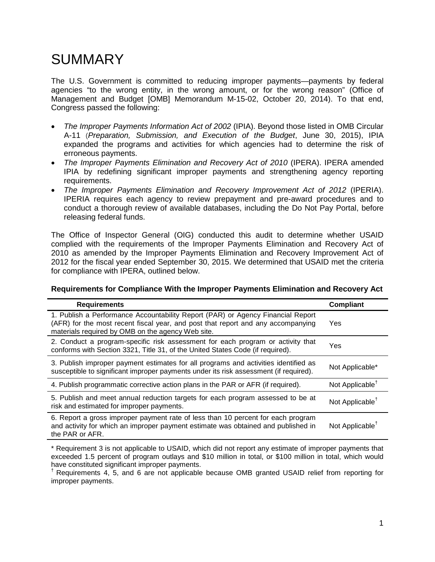### **SUMMARY**

The U.S. Government is committed to reducing improper payments—payments by federal agencies "to the wrong entity, in the wrong amount, or for the wrong reason" (Office of Management and Budget [OMB] Memorandum M-15-02, October 20, 2014). To that end, Congress passed the following:

- *The Improper Payments Information Act of 2002* (IPIA). Beyond those listed in OMB Circular A-11 (*Preparation, Submission, and Execution of the Budget*, June 30, 2015), IPIA expanded the programs and activities for which agencies had to determine the risk of erroneous payments.
- *The Improper Payments Elimination and Recovery Act of 2010* (IPERA). IPERA amended IPIA by redefining significant improper payments and strengthening agency reporting requirements.
- *The Improper Payments Elimination and Recovery Improvement Act of 2012* (IPERIA). IPERIA requires each agency to review prepayment and pre-award procedures and to conduct a thorough review of available databases, including the Do Not Pay Portal, before releasing federal funds.

The Office of Inspector General (OIG) conducted this audit to determine whether USAID complied with the requirements of the Improper Payments Elimination and Recovery Act of 2010 as amended by the Improper Payments Elimination and Recovery Improvement Act of 2012 for the fiscal year ended September 30, 2015. We determined that USAID met the criteria for compliance with IPERA, outlined below.

#### **Requirements for Compliance With the Improper Payments Elimination and Recovery Act**

| <b>Requirements</b>                                                                                                                                                                                                      | <b>Compliant</b>            |
|--------------------------------------------------------------------------------------------------------------------------------------------------------------------------------------------------------------------------|-----------------------------|
| 1. Publish a Performance Accountability Report (PAR) or Agency Financial Report<br>(AFR) for the most recent fiscal year, and post that report and any accompanying<br>materials required by OMB on the agency Web site. | Yes                         |
| 2. Conduct a program-specific risk assessment for each program or activity that<br>conforms with Section 3321, Title 31, of the United States Code (if required).                                                        | Yes                         |
| 3. Publish improper payment estimates for all programs and activities identified as<br>susceptible to significant improper payments under its risk assessment (if required).                                             | Not Applicable*             |
| 4. Publish programmatic corrective action plans in the PAR or AFR (if required).                                                                                                                                         | Not Applicable <sup>†</sup> |
| 5. Publish and meet annual reduction targets for each program assessed to be at<br>risk and estimated for improper payments.                                                                                             | Not Applicable <sup>†</sup> |
| 6. Report a gross improper payment rate of less than 10 percent for each program<br>and activity for which an improper payment estimate was obtained and published in<br>the PAR or AFR.                                 | Not Applicable <sup>†</sup> |

\* Requirement 3 is not applicable to USAID, which did not report any estimate of improper payments that exceeded 1.5 percent of program outlays and \$10 million in total, or \$100 million in total, which would have constituted significant improper payments.

† Requirements 4, 5, and 6 are not applicable because OMB granted USAID relief from reporting for improper payments.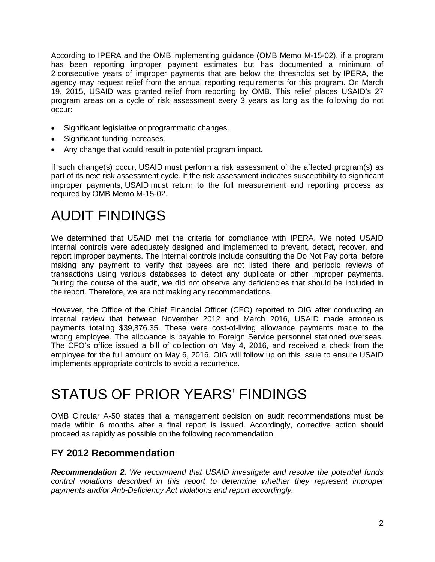According to IPERA and the OMB implementing guidance (OMB Memo M-15-02), if a program has been reporting improper payment estimates but has documented a minimum of 2 consecutive years of improper payments that are below the thresholds set by IPERA, the agency may request relief from the annual reporting requirements for this program. On March 19, 2015, USAID was granted relief from reporting by OMB. This relief places USAID's 27 program areas on a cycle of risk assessment every 3 years as long as the following do not occur:

- Significant legislative or programmatic changes.
- Significant funding increases.
- Any change that would result in potential program impact.

If such change(s) occur, USAID must perform a risk assessment of the affected program(s) as part of its next risk assessment cycle. If the risk assessment indicates susceptibility to significant improper payments, USAID must return to the full measurement and reporting process as required by OMB Memo M-15-02.

## AUDIT FINDINGS

We determined that USAID met the criteria for compliance with IPERA. We noted USAID internal controls were adequately designed and implemented to prevent, detect, recover, and report improper payments. The internal controls include consulting the Do Not Pay portal before making any payment to verify that payees are not listed there and periodic reviews of transactions using various databases to detect any duplicate or other improper payments. During the course of the audit, we did not observe any deficiencies that should be included in the report. Therefore, we are not making any recommendations.

However, the Office of the Chief Financial Officer (CFO) reported to OIG after conducting an internal review that between November 2012 and March 2016, USAID made erroneous payments totaling \$39,876.35. These were cost-of-living allowance payments made to the wrong employee. The allowance is payable to Foreign Service personnel stationed overseas. The CFO's office issued a bill of collection on May 4, 2016, and received a check from the employee for the full amount on May 6, 2016. OIG will follow up on this issue to ensure USAID implements appropriate controls to avoid a recurrence.

### STATUS OF PRIOR YEARS' FINDINGS

OMB Circular A-50 states that a management decision on audit recommendations must be made within 6 months after a final report is issued. Accordingly, corrective action should proceed as rapidly as possible on the following recommendation.

### **FY 2012 Recommendation**

*Recommendation 2. We recommend that USAID investigate and resolve the potential funds control violations described in this report to determine whether they represent improper payments and/or Anti-Deficiency Act violations and report accordingly.*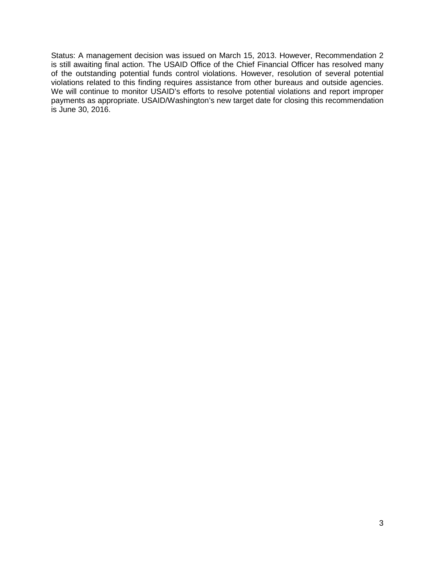Status: A management decision was issued on March 15, 2013. However, Recommendation 2 is still awaiting final action. The USAID Office of the Chief Financial Officer has resolved many of the outstanding potential funds control violations. However, resolution of several potential violations related to this finding requires assistance from other bureaus and outside agencies. We will continue to monitor USAID's efforts to resolve potential violations and report improper payments as appropriate. USAID/Washington's new target date for closing this recommendation is June 30, 2016.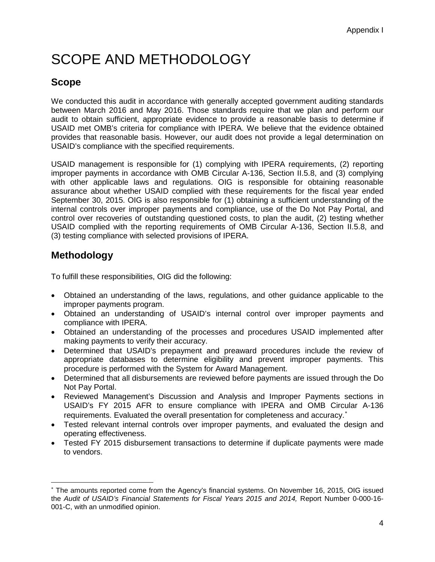# SCOPE AND METHODOLOGY

### **Scope**

We conducted this audit in accordance with generally accepted government auditing standards between March 2016 and May 2016. Those standards require that we plan and perform our audit to obtain sufficient, appropriate evidence to provide a reasonable basis to determine if USAID met OMB's criteria for compliance with IPERA. We believe that the evidence obtained provides that reasonable basis. However, our audit does not provide a legal determination on USAID's compliance with the specified requirements.

USAID management is responsible for (1) complying with IPERA requirements, (2) reporting improper payments in accordance with OMB Circular A-136, Section II.5.8, and (3) complying with other applicable laws and regulations. OIG is responsible for obtaining reasonable assurance about whether USAID complied with these requirements for the fiscal year ended September 30, 2015. OIG is also responsible for (1) obtaining a sufficient understanding of the internal controls over improper payments and compliance, use of the Do Not Pay Portal, and control over recoveries of outstanding questioned costs, to plan the audit, (2) testing whether USAID complied with the reporting requirements of OMB Circular A-136, Section II.5.8, and (3) testing compliance with selected provisions of IPERA.

### **Methodology**

To fulfill these responsibilities, OIG did the following:

- Obtained an understanding of the laws, regulations, and other guidance applicable to the improper payments program.
- Obtained an understanding of USAID's internal control over improper payments and compliance with IPERA.
- Obtained an understanding of the processes and procedures USAID implemented after making payments to verify their accuracy.
- Determined that USAID's prepayment and preaward procedures include the review of appropriate databases to determine eligibility and prevent improper payments. This procedure is performed with the System for Award Management.
- Determined that all disbursements are reviewed before payments are issued through the Do Not Pay Portal.
- Reviewed Management's Discussion and Analysis and Improper Payments sections in USAID's FY 2015 AFR to ensure compliance with IPERA and OMB Circular A-136 requirements. Evaluated the overall presentation for completeness and accuracy. [∗](#page-6-0)
- Tested relevant internal controls over improper payments, and evaluated the design and operating effectiveness.
- Tested FY 2015 disbursement transactions to determine if duplicate payments were made to vendors.

<span id="page-6-0"></span><sup>∗</sup> The amounts reported come from the Agency's financial systems. On November 16, 2015, OIG issued the *Audit of USAID's Financial Statements for Fiscal Years 2015 and 2014,* Report Number 0-000-16- 001-C, with an unmodified opinion.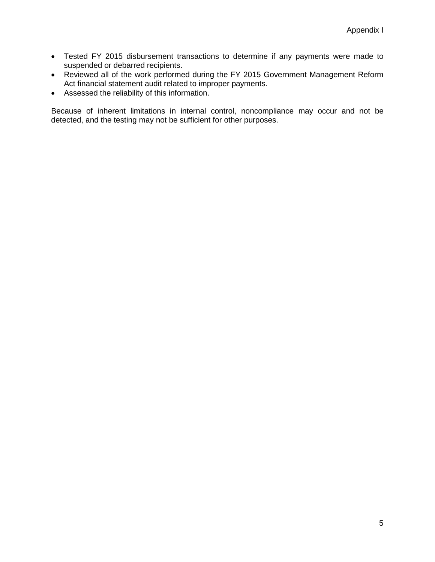- Tested FY 2015 disbursement transactions to determine if any payments were made to suspended or debarred recipients.
- Reviewed all of the work performed during the FY 2015 Government Management Reform Act financial statement audit related to improper payments.
- Assessed the reliability of this information.

Because of inherent limitations in internal control, noncompliance may occur and not be detected, and the testing may not be sufficient for other purposes.